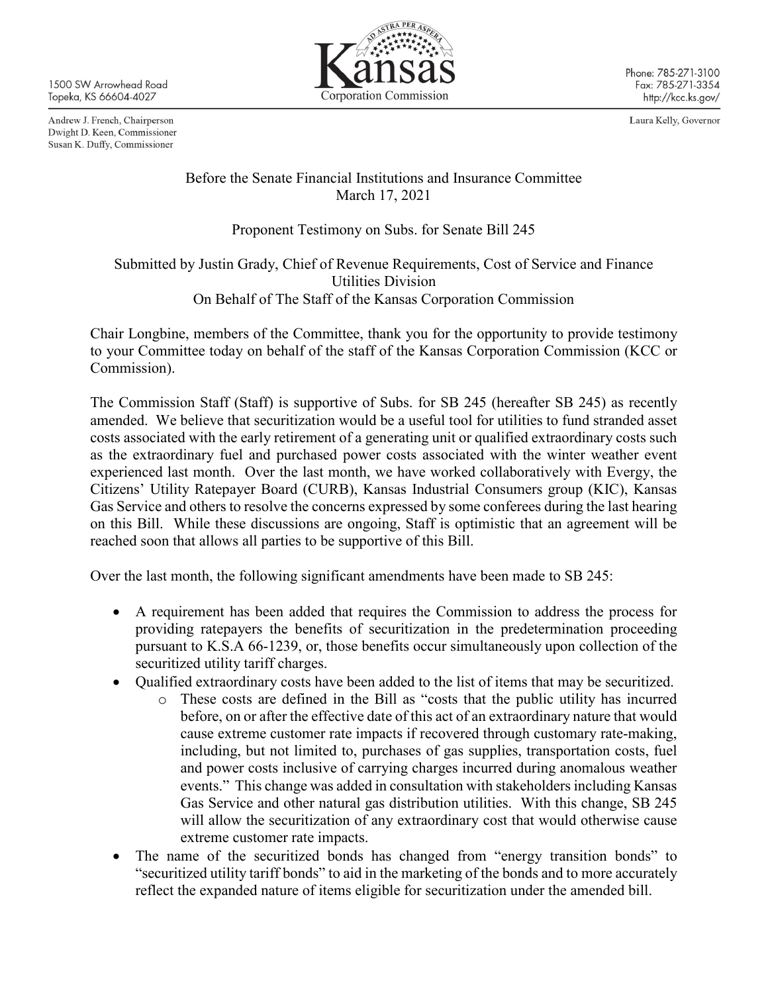1500 SW Arrowhead Road Topeka, KS 66604-4027

Andrew J. French, Chairperson Dwight D. Keen, Commissioner Susan K. Duffy, Commissioner



Laura Kelly, Governor

## Before the Senate Financial Institutions and Insurance Committee March 17, 2021

## Proponent Testimony on Subs. for Senate Bill 245

Submitted by Justin Grady, Chief of Revenue Requirements, Cost of Service and Finance Utilities Division On Behalf of The Staff of the Kansas Corporation Commission

Chair Longbine, members of the Committee, thank you for the opportunity to provide testimony to your Committee today on behalf of the staff of the Kansas Corporation Commission (KCC or Commission).

The Commission Staff (Staff) is supportive of Subs. for SB 245 (hereafter SB 245) as recently amended. We believe that securitization would be a useful tool for utilities to fund stranded asset costs associated with the early retirement of a generating unit or qualified extraordinary costs such as the extraordinary fuel and purchased power costs associated with the winter weather event experienced last month. Over the last month, we have worked collaboratively with Evergy, the Citizens' Utility Ratepayer Board (CURB), Kansas Industrial Consumers group (KIC), Kansas Gas Service and others to resolve the concerns expressed by some conferees during the last hearing on this Bill. While these discussions are ongoing, Staff is optimistic that an agreement will be reached soon that allows all parties to be supportive of this Bill.

Over the last month, the following significant amendments have been made to SB 245:

- A requirement has been added that requires the Commission to address the process for providing ratepayers the benefits of securitization in the predetermination proceeding pursuant to K.S.A 66-1239, or, those benefits occur simultaneously upon collection of the securitized utility tariff charges.
- Qualified extraordinary costs have been added to the list of items that may be securitized.
	- o These costs are defined in the Bill as "costs that the public utility has incurred before, on or after the effective date of this act of an extraordinary nature that would cause extreme customer rate impacts if recovered through customary rate-making, including, but not limited to, purchases of gas supplies, transportation costs, fuel and power costs inclusive of carrying charges incurred during anomalous weather events." This change was added in consultation with stakeholders including Kansas Gas Service and other natural gas distribution utilities. With this change, SB 245 will allow the securitization of any extraordinary cost that would otherwise cause extreme customer rate impacts.
- The name of the securitized bonds has changed from "energy transition bonds" to "securitized utility tariff bonds" to aid in the marketing of the bonds and to more accurately reflect the expanded nature of items eligible for securitization under the amended bill.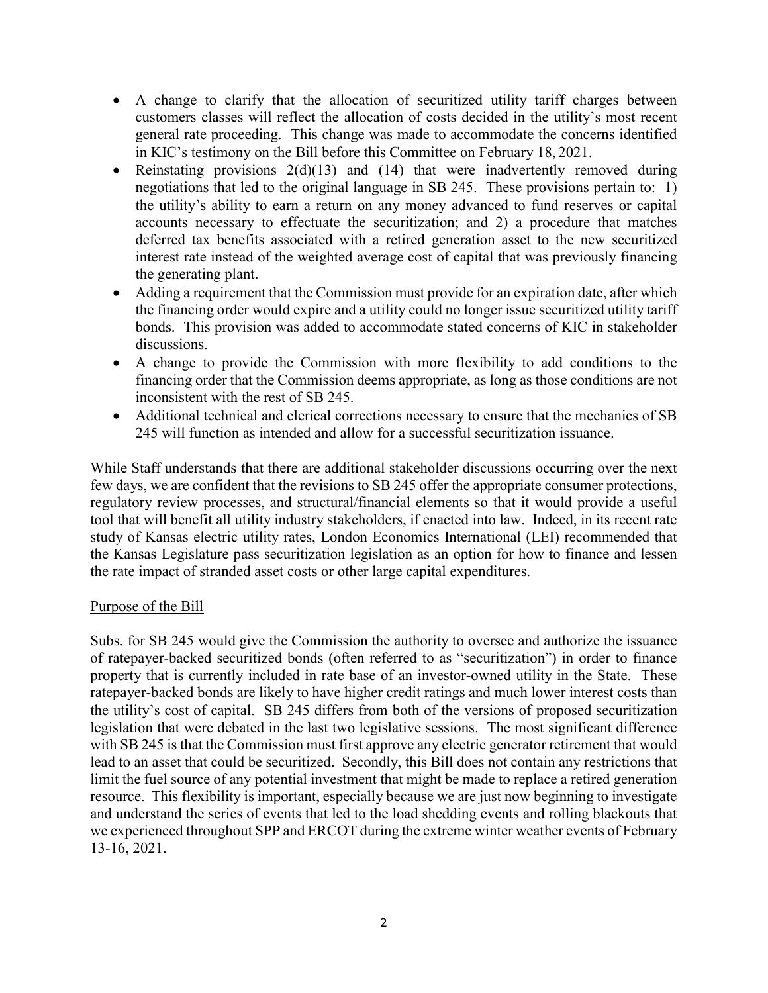- A change to clarify that the allocation of securitized utility tariff charges between customers classes will reflect the allocation of costs decided in the utility's most recent general rate proceeding. This change was made to accommodate the concerns identified in KIC's testimony on the Bill before this Committee on February 18, 2021.
- Reinstating provisions  $2(d)(13)$  and  $(14)$  that were inadvertently removed during negotiations that led to the original language in SB 245. These provisions pertain to: 1) the utility's ability to earn a return on any money advanced to fund reserves or capital accounts necessary to effectuate the securitization; and 2) a procedure that matches deferred tax benefits associated with a retired generation asset to the new securitized interest rate instead of the weighted average cost of capital that was previously financing the generating plant.
- Adding a requirement that the Commission must provide for an expiration date, after which the financing order would expire and a utility could no longer issue securitized utility tariff bonds. This provision was added to accommodate stated concerns of KIC in stakeholder discussions.
- A change to provide the Commission with more flexibility to add conditions to the financing order that the Commission deems appropriate, as long as those conditions are not inconsistent with the rest of SB 245.
- Additional technical and clerical corrections necessary to ensure that the mechanics of SB 245 will function as intended and allow for a successful securitization issuance.

While Staff understands that there are additional stakeholder discussions occurring over the next few days, we are confident that the revisions to SB 245 offer the appropriate consumer protections, regulatory review processes, and structural/financial elements so that it would provide a useful tool that will benefit all utility industry stakeholders, if enacted into law. Indeed, in its recent rate study of Kansas electric utility rates, London Economics International (LEI) recommended that the Kansas Legislature pass securitization legislation as an option for how to finance and lessen the rate impact of stranded asset costs or other large capital expenditures.

## Purpose of the Bill

Subs. for SB 245 would give the Commission the authority to oversee and authorize the issuance of ratepayer-backed securitized bonds (often referred to as "securitization") in order to finance property that is currently included in rate base of an investor-owned utility in the State. These ratepayer-backed bonds are likely to have higher credit ratings and much lower interest costs than the utility's cost of capital. SB 245 differs from both of the versions of proposed securitization legislation that were debated in the last two legislative sessions. The most significant difference with SB 245 is that the Commission must first approve any electric generator retirement that would lead to an asset that could be securitized. Secondly, this Bill does not contain any restrictions that limit the fuel source of any potential investment that might be made to replace a retired generation resource. This flexibility is important, especially because we are just now beginning to investigate and understand the series of events that led to the load shedding events and rolling blackouts that we experienced throughout SPP and ERCOT during the extreme winter weather events of February 13-16, 2021.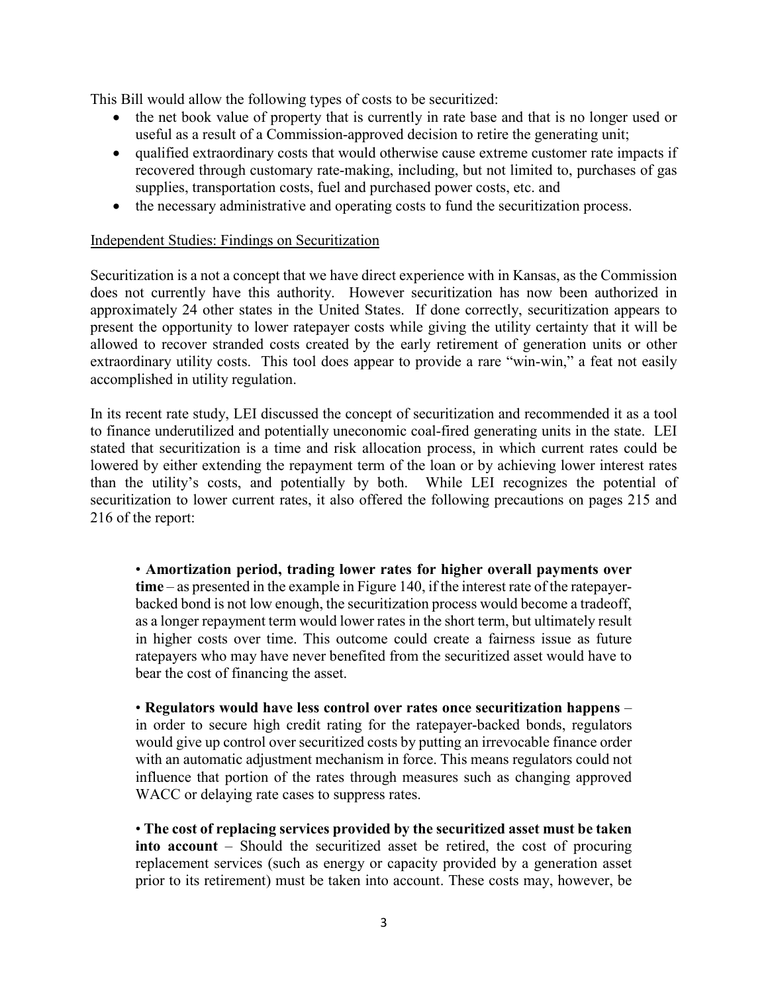This Bill would allow the following types of costs to be securitized:

- the net book value of property that is currently in rate base and that is no longer used or useful as a result of a Commission-approved decision to retire the generating unit;
- qualified extraordinary costs that would otherwise cause extreme customer rate impacts if recovered through customary rate-making, including, but not limited to, purchases of gas supplies, transportation costs, fuel and purchased power costs, etc. and
- the necessary administrative and operating costs to fund the securitization process.

## Independent Studies: Findings on Securitization

Securitization is a not a concept that we have direct experience with in Kansas, as the Commission does not currently have this authority. However securitization has now been authorized in approximately 24 other states in the United States. If done correctly, securitization appears to present the opportunity to lower ratepayer costs while giving the utility certainty that it will be allowed to recover stranded costs created by the early retirement of generation units or other extraordinary utility costs. This tool does appear to provide a rare "win-win," a feat not easily accomplished in utility regulation.

In its recent rate study, LEI discussed the concept of securitization and recommended it as a tool to finance underutilized and potentially uneconomic coal-fired generating units in the state. LEI stated that securitization is a time and risk allocation process, in which current rates could be lowered by either extending the repayment term of the loan or by achieving lower interest rates than the utility's costs, and potentially by both. While LEI recognizes the potential of securitization to lower current rates, it also offered the following precautions on pages 215 and 216 of the report:

• **Amortization period, trading lower rates for higher overall payments over time** – as presented in the example in Figure 140, if the interest rate of the ratepayerbacked bond is not low enough, the securitization process would become a tradeoff, as a longer repayment term would lower rates in the short term, but ultimately result in higher costs over time. This outcome could create a fairness issue as future ratepayers who may have never benefited from the securitized asset would have to bear the cost of financing the asset.

• **Regulators would have less control over rates once securitization happens** – in order to secure high credit rating for the ratepayer-backed bonds, regulators would give up control over securitized costs by putting an irrevocable finance order with an automatic adjustment mechanism in force. This means regulators could not influence that portion of the rates through measures such as changing approved WACC or delaying rate cases to suppress rates.

• **The cost of replacing services provided by the securitized asset must be taken into account** – Should the securitized asset be retired, the cost of procuring replacement services (such as energy or capacity provided by a generation asset prior to its retirement) must be taken into account. These costs may, however, be